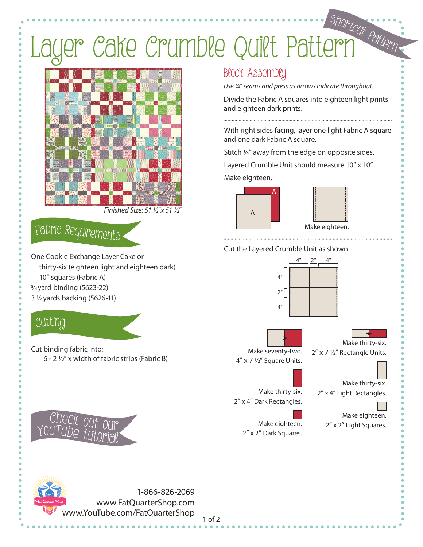# Layer Cake Crumble Quilt Pattern <sup>S</sup>hortcu<sup>t</sup> <sup>P</sup>atter<sup>n</sup>



*Finished Size: 51 1/2*"*x 51 1/2*"

### <sup>F</sup>abri<sup>c</sup> <sup>R</sup><sup>e</sup>quirement<sup>s</sup>

One Cookie Exchange Layer Cake or thirty-six (eighteen light and eighteen dark) 10" squares (Fabric A) 5/8 yard binding (5623-22) 3 1/2 yards backing (5626-11)

### Cutti<sup>n</sup>g

Cut binding fabric into: 6 - 2 ½" x width of fabric strips (Fabric B)



*Use ¼" seams and press as arrows indicate throughout.*

Divide the Fabric A squares into eighteen light prints and eighteen dark prints.

With right sides facing, layer one light Fabric A square and one dark Fabric A square.

Stitch 1/4" away from the edge on opposite sides.

Layered Crumble Unit should measure 10" x 10".

Make eighteen.



Cut the Layered Crumble Unit as shown.







Make thirty-six.  $2''$  x 7  $\frac{1}{2}''$  Rectangle Units.

Make thirty-six. 2" x 4" Light Rectangles.

Make thirty-six. 2" x 4" Dark Rectangles.

4" x 7 1/2" Square Units.

Make eighteen. 2" x 2" Dark Squares.